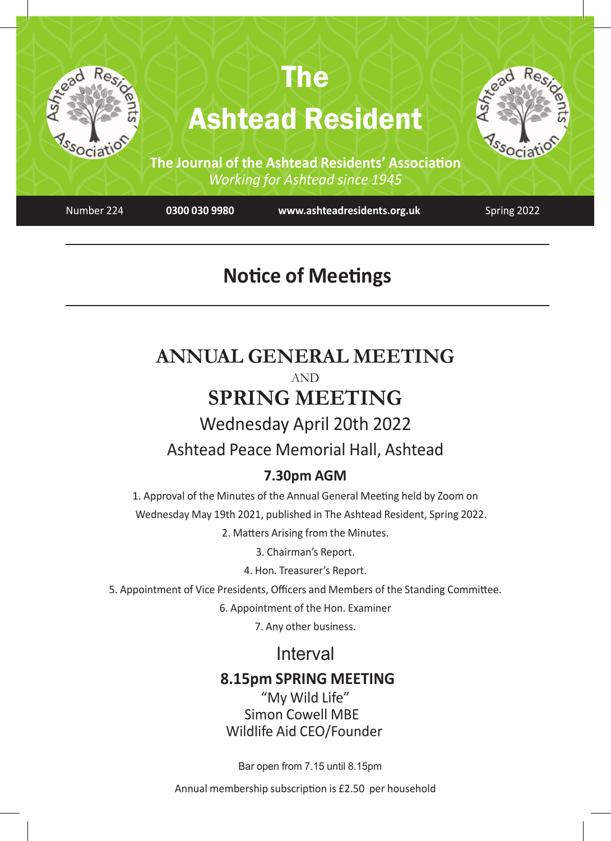

# **Notice of Meetings**

## **ANNUAL GENERAL MEETING** AND **SPRING MEETING** Wednesday April 20th 2022

## Ashtead Peace Memorial Hall, Ashtead

## **7.30pm AGM**

1. Approval of the Minutes of the Annual General Meeting held by Zoom on Wednesday May 19th 2021, published in The Ashtead Resident, Spring 2022.

2. Matters Arising from the Minutes.

3. Chairman's Report.

4. Hon. Treasurer's Report.

5. Appointment of Vice Presidents, Officers and Members of the Standing Committee.

6. Appointment of the Hon. Examiner

7. Any other business.

## Interval

## **8.15pm SPRING MEETING**

 "My Wild Life" Simon Cowell MBE Wildlife Aid CEO/Founder

Bar open from 7.15 until 8.15pm

Annual membership subscription is £2.50 per household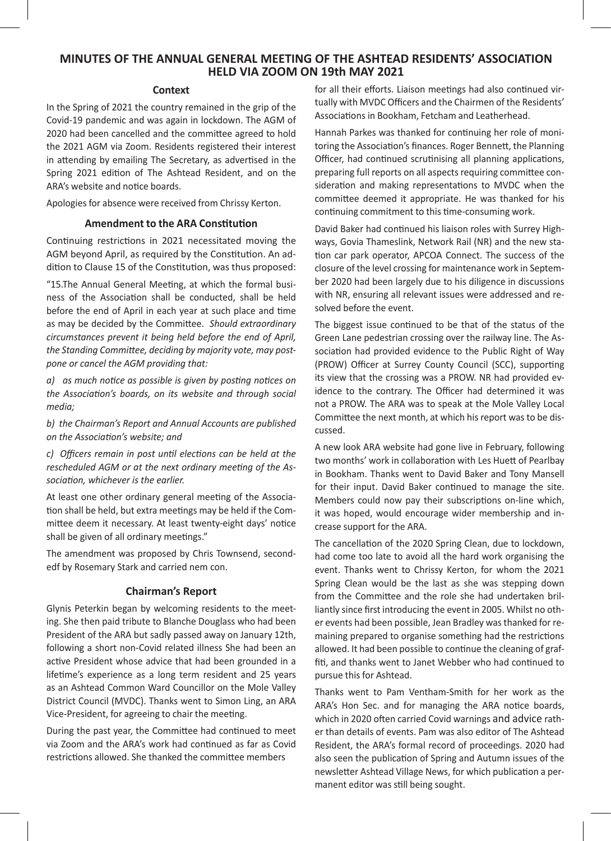#### **MINUTES OF THE ANNUAL GENERAL MEETING OF THE ASHTEAD RESIDENTS' ASSOCIATION HELD VIA ZOOM ON 19th MAY 2021**

#### **Context**

In the Spring of 2021 the country remained in the grip of the Covid-19 pandemic and was again in lockdown. The AGM of 2020 had been cancelled and the committee agreed to hold the 2021 AGM via Zoom. Residents registered their interest in attending by emailing The Secretary, as advertised in the Spring 2021 edition of The Ashtead Resident, and on the ARA's website and notice boards.

Apologies for absence were received from Chrissy Kerton.

#### **Amendment to the ARA Constitution**

Continuing restrictions in 2021 necessitated moving the AGM beyond April, as required by the Constitution. An addition to Clause 15 of the Constitution, was thus proposed:

"15.The Annual General Meeting, at which the formal business of the Association shall be conducted, shall be held before the end of April in each year at such place and time as may be decided by the Committee. *Should extraordinary circumstances prevent it being held before the end of April, the Standing Committee, deciding by majority vote, may postpone or cancel the AGM providing that:*

*a) as much notice as possible is given by posting notices on the Association's boards, on its website and through social media;*

*b) the Chairman's Report and Annual Accounts are published on the Association's website; and*

*c) Officers remain in post until elections can be held at the rescheduled AGM or at the next ordinary meeting of the Association, whichever is the earlier.*

At least one other ordinary general meeting of the Association shall be held, but extra meetings may be held if the Committee deem it necessary. At least twenty-eight days' notice shall be given of all ordinary meetings."

The amendment was proposed by Chris Townsend, secondedf by Rosemary Stark and carried nem con.

#### **Chairman's Report**

Glynis Peterkin began by welcoming residents to the meeting. She then paid tribute to Blanche Douglass who had been President of the ARA but sadly passed away on January 12th, following a short non-Covid related illness She had been an active President whose advice that had been grounded in a lifetime's experience as a long term resident and 25 years as an Ashtead Common Ward Councillor on the Mole Valley District Council (MVDC). Thanks went to Simon Ling, an ARA Vice-President, for agreeing to chair the meeting.

During the past year, the Committee had continued to meet via Zoom and the ARA's work had continued as far as Covid restrictions allowed. She thanked the committee members

for all their efforts. Liaison meetings had also continued virtually with MVDC Officers and the Chairmen of the Residents' Associations in Bookham, Fetcham and Leatherhead.

Hannah Parkes was thanked for continuing her role of monitoring the Association's finances. Roger Bennett, the Planning Officer, had continued scrutinising all planning applications, preparing full reports on all aspects requiring committee consideration and making representations to MVDC when the committee deemed it appropriate. He was thanked for his continuing commitment to this time-consuming work.

David Baker had continued his liaison roles with Surrey Highways, Govia Thameslink, Network Rail (NR) and the new station car park operator, APCOA Connect. The success of the closure of the level crossing for maintenance work in September 2020 had been largely due to his diligence in discussions with NR, ensuring all relevant issues were addressed and resolved before the event.

The biggest issue continued to be that of the status of the Green Lane pedestrian crossing over the railway line. The Association had provided evidence to the Public Right of Way (PROW) Officer at Surrey County Council (SCC), supporting its view that the crossing was a PROW. NR had provided evidence to the contrary. The Officer had determined it was not a PROW. The ARA was to speak at the Mole Valley Local Committee the next month, at which his report was to be discussed.

A new look ARA website had gone live in February, following two months' work in collaboration with Les Huett of Pearlbay in Bookham. Thanks went to David Baker and Tony Mansell for their input. David Baker continued to manage the site. Members could now pay their subscriptions on-line which, it was hoped, would encourage wider membership and increase support for the ARA.

The cancellation of the 2020 Spring Clean, due to lockdown, had come too late to avoid all the hard work organising the event. Thanks went to Chrissy Kerton, for whom the 2021 Spring Clean would be the last as she was stepping down from the Committee and the role she had undertaken brilliantly since first introducing the event in 2005. Whilst no other events had been possible, Jean Bradley was thanked for remaining prepared to organise something had the restrictions allowed. It had been possible to continue the cleaning of graffiti, and thanks went to Janet Webber who had continued to pursue this for Ashtead.

Thanks went to Pam Ventham-Smith for her work as the ARA's Hon Sec. and for managing the ARA notice boards, which in 2020 often carried Covid warnings and advice rather than details of events. Pam was also editor of The Ashtead Resident, the ARA's formal record of proceedings. 2020 had also seen the publication of Spring and Autumn issues of the newsletter Ashtead Village News, for which publication a permanent editor was still being sought.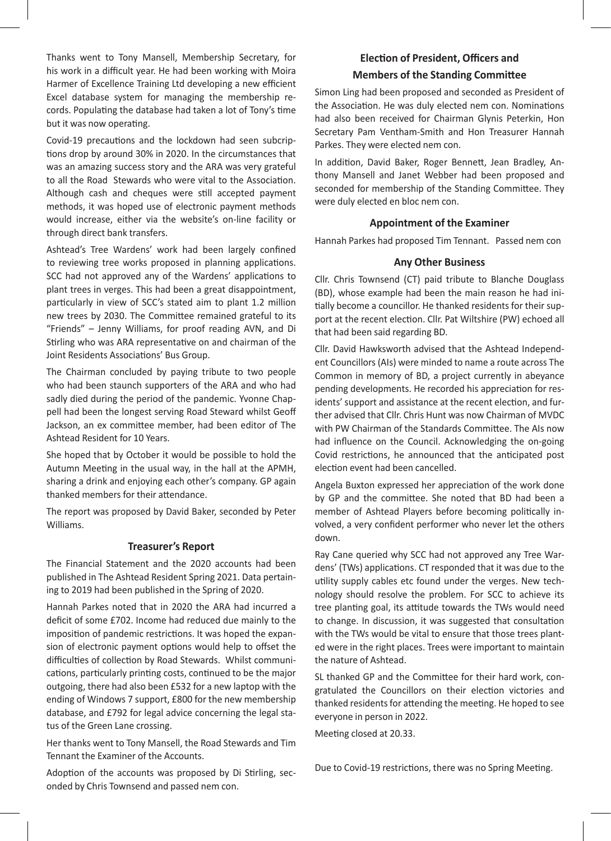Thanks went to Tony Mansell, Membership Secretary, for his work in a difficult year. He had been working with Moira Harmer of Excellence Training Ltd developing a new efficient Excel database system for managing the membership records. Populating the database had taken a lot of Tony's time but it was now operating.

Covid-19 precautions and the lockdown had seen subcriptions drop by around 30% in 2020. In the circumstances that was an amazing success story and the ARA was very grateful to all the Road Stewards who were vital to the Association. Although cash and cheques were still accepted payment methods, it was hoped use of electronic payment methods would increase, either via the website's on-line facility or through direct bank transfers.

Ashtead's Tree Wardens' work had been largely confined to reviewing tree works proposed in planning applications. SCC had not approved any of the Wardens' applications to plant trees in verges. This had been a great disappointment, particularly in view of SCC's stated aim to plant 1.2 million new trees by 2030. The Committee remained grateful to its "Friends" – Jenny Williams, for proof reading AVN, and Di Stirling who was ARA representative on and chairman of the Joint Residents Associations' Bus Group.

The Chairman concluded by paying tribute to two people who had been staunch supporters of the ARA and who had sadly died during the period of the pandemic. Yvonne Chappell had been the longest serving Road Steward whilst Geoff Jackson, an ex committee member, had been editor of The Ashtead Resident for 10 Years.

She hoped that by October it would be possible to hold the Autumn Meeting in the usual way, in the hall at the APMH, sharing a drink and enjoying each other's company. GP again thanked members for their attendance.

The report was proposed by David Baker, seconded by Peter Williams.

#### **Treasurer's Report**

The Financial Statement and the 2020 accounts had been published in The Ashtead Resident Spring 2021. Data pertaining to 2019 had been published in the Spring of 2020.

Hannah Parkes noted that in 2020 the ARA had incurred a deficit of some £702. Income had reduced due mainly to the imposition of pandemic restrictions. It was hoped the expansion of electronic payment options would help to offset the difficulties of collection by Road Stewards. Whilst communications, particularly printing costs, continued to be the major outgoing, there had also been £532 for a new laptop with the ending of Windows 7 support, £800 for the new membership database, and £792 for legal advice concerning the legal status of the Green Lane crossing.

Her thanks went to Tony Mansell, the Road Stewards and Tim Tennant the Examiner of the Accounts.

Adoption of the accounts was proposed by Di Stirling, seconded by Chris Townsend and passed nem con.

### **Election of President, Officers and Members of the Standing Committee**

Simon Ling had been proposed and seconded as President of the Association. He was duly elected nem con. Nominations had also been received for Chairman Glynis Peterkin, Hon Secretary Pam Ventham-Smith and Hon Treasurer Hannah Parkes. They were elected nem con.

In addition, David Baker, Roger Bennett, Jean Bradley, Anthony Mansell and Janet Webber had been proposed and seconded for membership of the Standing Committee. They were duly elected en bloc nem con.

#### **Appointment of the Examiner**

Hannah Parkes had proposed Tim Tennant. Passed nem con

#### **Any Other Business**

Cllr. Chris Townsend (CT) paid tribute to Blanche Douglass (BD), whose example had been the main reason he had initially become a councillor. He thanked residents for their support at the recent election. Cllr. Pat Wiltshire (PW) echoed all that had been said regarding BD.

Cllr. David Hawksworth advised that the Ashtead Independent Councillors (AIs) were minded to name a route across The Common in memory of BD, a project currently in abeyance pending developments. He recorded his appreciation for residents' support and assistance at the recent election, and further advised that Cllr. Chris Hunt was now Chairman of MVDC with PW Chairman of the Standards Committee. The AIs now had influence on the Council. Acknowledging the on-going Covid restrictions, he announced that the anticipated post election event had been cancelled.

Angela Buxton expressed her appreciation of the work done by GP and the committee. She noted that BD had been a member of Ashtead Players before becoming politically involved, a very confident performer who never let the others down.

Ray Cane queried why SCC had not approved any Tree Wardens' (TWs) applications. CT responded that it was due to the utility supply cables etc found under the verges. New technology should resolve the problem. For SCC to achieve its tree planting goal, its attitude towards the TWs would need to change. In discussion, it was suggested that consultation with the TWs would be vital to ensure that those trees planted were in the right places. Trees were important to maintain the nature of Ashtead.

SL thanked GP and the Committee for their hard work, congratulated the Councillors on their election victories and thanked residents for attending the meeting. He hoped to see everyone in person in 2022.

Meeting closed at 20.33.

Due to Covid-19 restrictions, there was no Spring Meeting.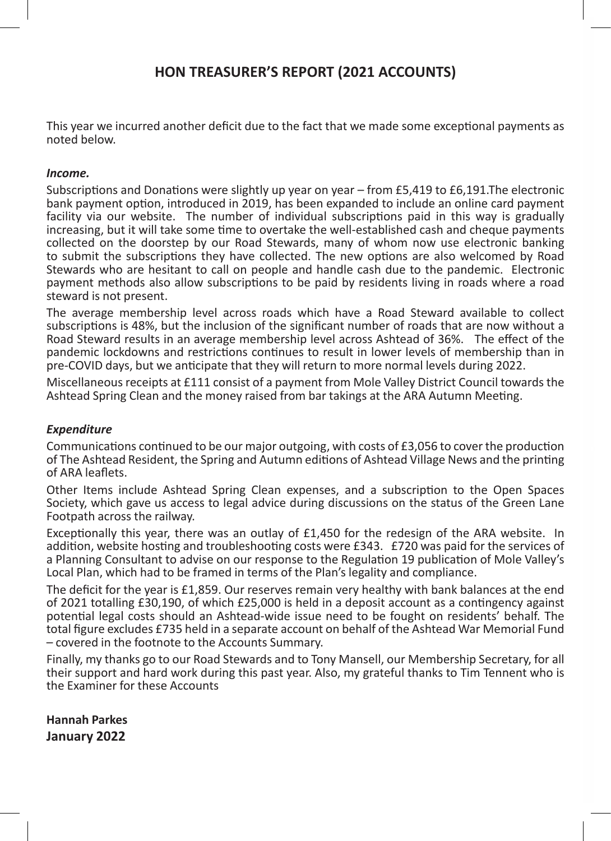## **HON TREASURER'S REPORT (2021 ACCOUNTS)**

This year we incurred another deficit due to the fact that we made some exceptional payments as noted below.

### *Income.*

Subscriptions and Donations were slightly up year on year – from £5,419 to £6,191.The electronic bank payment option, introduced in 2019, has been expanded to include an online card payment facility via our website. The number of individual subscriptions paid in this way is gradually increasing, but it will take some time to overtake the well-established cash and cheque payments collected on the doorstep by our Road Stewards, many of whom now use electronic banking to submit the subscriptions they have collected. The new options are also welcomed by Road Stewards who are hesitant to call on people and handle cash due to the pandemic. Electronic payment methods also allow subscriptions to be paid by residents living in roads where a road steward is not present.

The average membership level across roads which have a Road Steward available to collect subscriptions is 48%, but the inclusion of the significant number of roads that are now without a Road Steward results in an average membership level across Ashtead of 36%. The effect of the pandemic lockdowns and restrictions continues to result in lower levels of membership than in pre-COVID days, but we anticipate that they will return to more normal levels during 2022.

Miscellaneous receipts at £111 consist of a payment from Mole Valley District Council towards the Ashtead Spring Clean and the money raised from bar takings at the ARA Autumn Meeting.

### *Expenditure*

Communications continued to be our major outgoing, with costs of £3,056 to cover the production of The Ashtead Resident, the Spring and Autumn editions of Ashtead Village News and the printing of ARA leaflets.

Other Items include Ashtead Spring Clean expenses, and a subscription to the Open Spaces Society, which gave us access to legal advice during discussions on the status of the Green Lane Footpath across the railway.

Exceptionally this year, there was an outlay of £1,450 for the redesign of the ARA website. In addition, website hosting and troubleshooting costs were £343. £720 was paid for the services of a Planning Consultant to advise on our response to the Regulation 19 publication of Mole Valley's Local Plan, which had to be framed in terms of the Plan's legality and compliance.

The deficit for the year is £1,859. Our reserves remain very healthy with bank balances at the end of 2021 totalling £30,190, of which £25,000 is held in a deposit account as a contingency against potential legal costs should an Ashtead-wide issue need to be fought on residents' behalf. The total figure excludes £735 held in a separate account on behalf of the Ashtead War Memorial Fund – covered in the footnote to the Accounts Summary.

Finally, my thanks go to our Road Stewards and to Tony Mansell, our Membership Secretary, for all their support and hard work during this past year. Also, my grateful thanks to Tim Tennent who is the Examiner for these Accounts

**Hannah Parkes January 2022**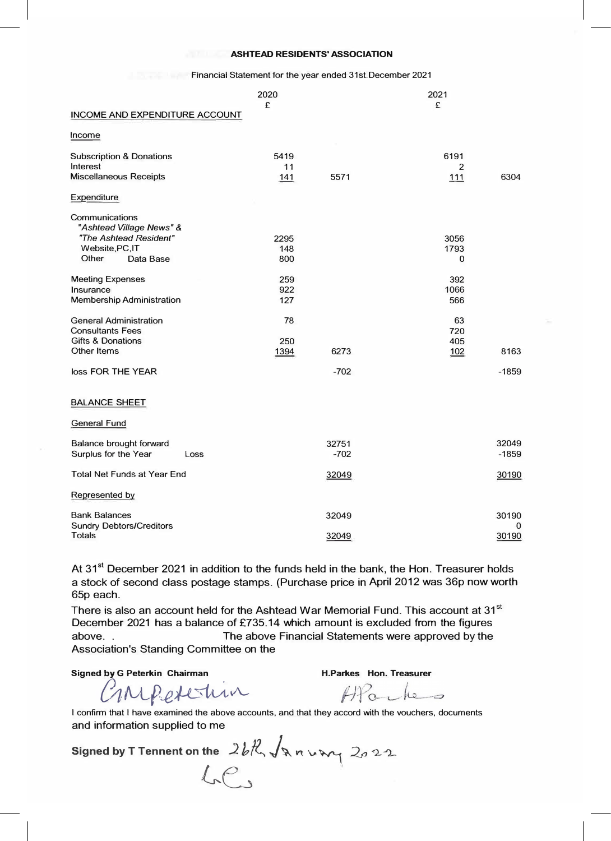#### **ASHTEAD RESIDENTS' ASSOCIATION**

|                                            | 2020<br>£ |        | 2021<br>£      |         |
|--------------------------------------------|-----------|--------|----------------|---------|
| <b>INCOME AND EXPENDITURE ACCOUNT</b>      |           |        |                |         |
| Income                                     |           |        |                |         |
| <b>Subscription &amp; Donations</b>        | 5419      |        | 6191           |         |
| Interest                                   | 11        |        | $\overline{2}$ |         |
| <b>Miscellaneous Receipts</b>              | 141       | 5571   | 111            | 6304    |
| Expenditure                                |           |        |                |         |
| Communications<br>"Ashtead Village News" & |           |        |                |         |
| "The Ashtead Resident"                     | 2295      |        | 3056           |         |
| Website, PC, IT                            | 148       |        | 1793           |         |
| Other<br>Data Base                         | 800       |        | $\Omega$       |         |
| <b>Meeting Expenses</b>                    | 259       |        | 392            |         |
| Insurance                                  | 922       |        | 1066           |         |
| <b>Membership Administration</b>           | 127       |        | 566            |         |
| <b>General Administration</b>              | 78        |        | 63             |         |
| <b>Consultants Fees</b>                    |           |        | 720            |         |
| Gifts & Donations                          | 250       |        | 405            |         |
| Other Items                                | 1394      | 6273   | 102            | 8163    |
| loss FOR THE YEAR                          |           | $-702$ |                | $-1859$ |
| <b>BALANCE SHEET</b>                       |           |        |                |         |
| <b>General Fund</b>                        |           |        |                |         |
| <b>Balance brought forward</b>             |           | 32751  |                | 32049   |
| Surplus for the Year<br>Loss               |           | $-702$ |                | $-1859$ |
| Total Net Funds at Year End                |           | 32049  |                | 30190   |
| Represented by                             |           |        |                |         |
| <b>Bank Balances</b>                       |           | 32049  |                | 30190   |
| <b>Sundry Debtors/Creditors</b>            |           |        |                | 0       |
| <b>Totals</b>                              |           | 32049  |                | 30190   |

Financial Statement for the year ended 31st.December 2021

At 31<sup>st</sup> December 2021 in addition to the funds held in the bank, the Hon. Treasurer holds a stock of second class postage stamps. (Purchase price in April 2012 was 36p now worth 65p each.

. Association's Standing Committee on the There is also an account held for the Ashtead War Memorial Fund. This account at  $31<sup>st</sup>$ December 2021 has a balance of £735.14 which amount is excluded from the figures above. . The above Financial Statements were approved by the

Signed by G Peterkin Chairman **H.Parkes Hon. Treasurer** 

 $M$ *Peterin* 

 $H$ 

I confirm that I have examined the above accounts, and that they accord with the vouchers, documents and information supplied to me

Signed by T Tennent on the  $2b\mathcal{R}\sqrt{\mathbf{a}}$  n  $\mathbf{b}\mathbf{w}$   $2a22$  $LF$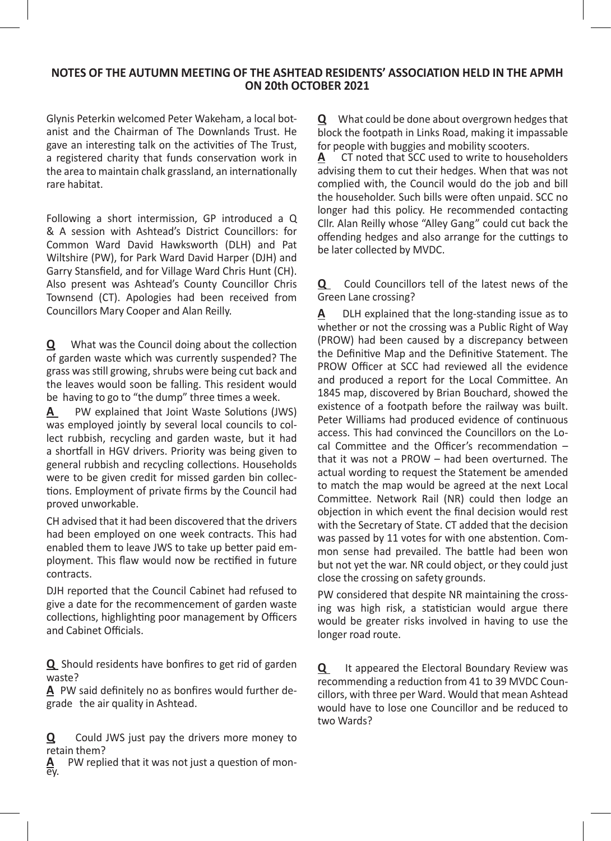### **NOTES OF THE AUTUMN MEETING OF THE ASHTEAD RESIDENTS' ASSOCIATION HELD IN THE APMH ON 20th OCTOBER 2021**

Glynis Peterkin welcomed Peter Wakeham, a local botanist and the Chairman of The Downlands Trust. He gave an interesting talk on the activities of The Trust, a registered charity that funds conservation work in the area to maintain chalk grassland, an internationally rare habitat.

Following a short intermission, GP introduced a Q & A session with Ashtead's District Councillors: for Common Ward David Hawksworth (DLH) and Pat Wiltshire (PW), for Park Ward David Harper (DJH) and Garry Stansfield, and for Village Ward Chris Hunt (CH). Also present was Ashtead's County Councillor Chris Townsend (CT). Apologies had been received from Councillors Mary Cooper and Alan Reilly.

**Q** What was the Council doing about the collection of garden waste which was currently suspended? The grass was still growing, shrubs were being cut back and the leaves would soon be falling. This resident would be having to go to "the dump" three times a week.

**A** PW explained that Joint Waste Solutions (JWS) was employed jointly by several local councils to collect rubbish, recycling and garden waste, but it had a shortfall in HGV drivers. Priority was being given to general rubbish and recycling collections. Households were to be given credit for missed garden bin collections. Employment of private firms by the Council had proved unworkable.

CH advised that it had been discovered that the drivers had been employed on one week contracts. This had enabled them to leave JWS to take up better paid employment. This flaw would now be rectified in future contracts.

DJH reported that the Council Cabinet had refused to give a date for the recommencement of garden waste collections, highlighting poor management by Officers and Cabinet Officials.

**Q** Should residents have bonfires to get rid of garden waste?

**A** PW said definitely no as bonfires would further degrade the air quality in Ashtead.

**Q** Could JWS just pay the drivers more money to retain them?

**A** PW replied that it was not just a question of mon-

**Q** What could be done about overgrown hedges that block the footpath in Links Road, making it impassable for people with buggies and mobility scooters.

**A** CT noted that SCC used to write to householders advising them to cut their hedges. When that was not complied with, the Council would do the job and bill the householder. Such bills were often unpaid. SCC no longer had this policy. He recommended contacting Cllr. Alan Reilly whose "Alley Gang" could cut back the offending hedges and also arrange for the cuttings to be later collected by MVDC.

**Q** Could Councillors tell of the latest news of the Green Lane crossing?

**A** DLH explained that the long-standing issue as to whether or not the crossing was a Public Right of Way (PROW) had been caused by a discrepancy between the Definitive Map and the Definitive Statement. The PROW Officer at SCC had reviewed all the evidence and produced a report for the Local Committee. An 1845 map, discovered by Brian Bouchard, showed the existence of a footpath before the railway was built. Peter Williams had produced evidence of continuous access. This had convinced the Councillors on the Local Committee and the Officer's recommendation – that it was not a PROW – had been overturned. The actual wording to request the Statement be amended to match the map would be agreed at the next Local Committee. Network Rail (NR) could then lodge an objection in which event the final decision would rest with the Secretary of State. CT added that the decision was passed by 11 votes for with one abstention. Common sense had prevailed. The battle had been won but not yet the war. NR could object, or they could just close the crossing on safety grounds.

PW considered that despite NR maintaining the crossing was high risk, a statistician would argue there would be greater risks involved in having to use the longer road route.

**Q** It appeared the Electoral Boundary Review was recommending a reduction from 41 to 39 MVDC Councillors, with three per Ward. Would that mean Ashtead would have to lose one Councillor and be reduced to two Wards?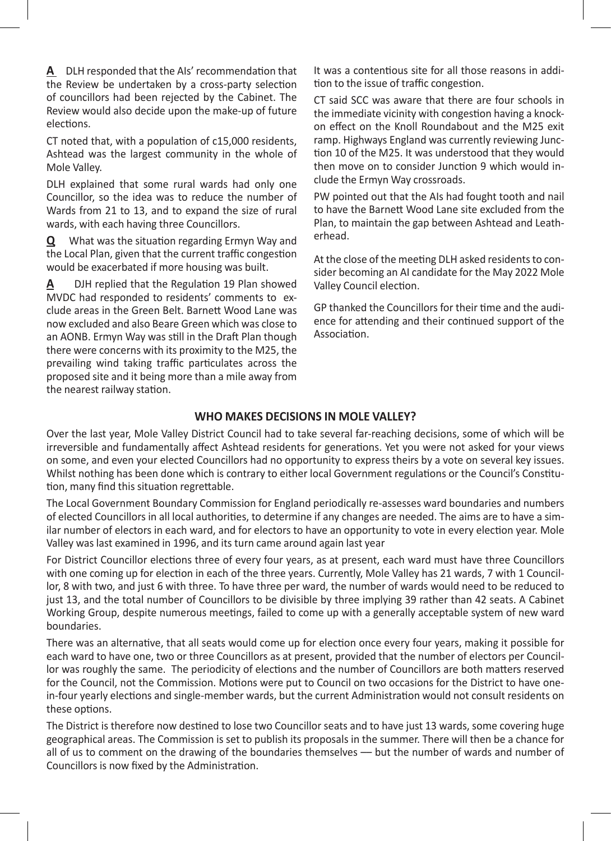**A** DLH responded that the AIs' recommendation that the Review be undertaken by a cross-party selection of councillors had been rejected by the Cabinet. The Review would also decide upon the make-up of future elections.

CT noted that, with a population of c15,000 residents, Ashtead was the largest community in the whole of Mole Valley.

DLH explained that some rural wards had only one Councillor, so the idea was to reduce the number of Wards from 21 to 13, and to expand the size of rural wards, with each having three Councillors.

**Q** What was the situation regarding Ermyn Way and the Local Plan, given that the current traffic congestion would be exacerbated if more housing was built.

**A** DJH replied that the Regulation 19 Plan showed MVDC had responded to residents' comments to exclude areas in the Green Belt. Barnett Wood Lane was now excluded and also Beare Green which was close to an AONB. Ermyn Way was still in the Draft Plan though there were concerns with its proximity to the M25, the prevailing wind taking traffic particulates across the proposed site and it being more than a mile away from the nearest railway station.

It was a contentious site for all those reasons in addition to the issue of traffic congestion.

CT said SCC was aware that there are four schools in the immediate vicinity with congestion having a knockon effect on the Knoll Roundabout and the M25 exit ramp. Highways England was currently reviewing Junction 10 of the M25. It was understood that they would then move on to consider Junction 9 which would include the Ermyn Way crossroads.

PW pointed out that the AIs had fought tooth and nail to have the Barnett Wood Lane site excluded from the Plan, to maintain the gap between Ashtead and Leatherhead.

At the close of the meeting DLH asked residents to consider becoming an AI candidate for the May 2022 Mole Valley Council election.

GP thanked the Councillors for their time and the audience for attending and their continued support of the Association.

### **WHO MAKES DECISIONS IN MOLE VALLEY?**

Over the last year, Mole Valley District Council had to take several far-reaching decisions, some of which will be irreversible and fundamentally affect Ashtead residents for generations. Yet you were not asked for your views on some, and even your elected Councillors had no opportunity to express theirs by a vote on several key issues. Whilst nothing has been done which is contrary to either local Government regulations or the Council's Constitution, many find this situation regrettable.

The Local Government Boundary Commission for England periodically re-assesses ward boundaries and numbers of elected Councillors in all local authorities, to determine if any changes are needed. The aims are to have a similar number of electors in each ward, and for electors to have an opportunity to vote in every election year. Mole Valley was last examined in 1996, and its turn came around again last year

For District Councillor elections three of every four years, as at present, each ward must have three Councillors with one coming up for election in each of the three years. Currently, Mole Valley has 21 wards, 7 with 1 Councillor, 8 with two, and just 6 with three. To have three per ward, the number of wards would need to be reduced to just 13, and the total number of Councillors to be divisible by three implying 39 rather than 42 seats. A Cabinet Working Group, despite numerous meetings, failed to come up with a generally acceptable system of new ward boundaries.

There was an alternative, that all seats would come up for election once every four years, making it possible for each ward to have one, two or three Councillors as at present, provided that the number of electors per Councillor was roughly the same. The periodicity of elections and the number of Councillors are both matters reserved for the Council, not the Commission. Motions were put to Council on two occasions for the District to have onein-four yearly elections and single-member wards, but the current Administration would not consult residents on these options.

The District is therefore now destined to lose two Councillor seats and to have just 13 wards, some covering huge geographical areas. The Commission is set to publish its proposals in the summer. There will then be a chance for all of us to comment on the drawing of the boundaries themselves -- but the number of wards and number of Councillors is now fixed by the Administration.